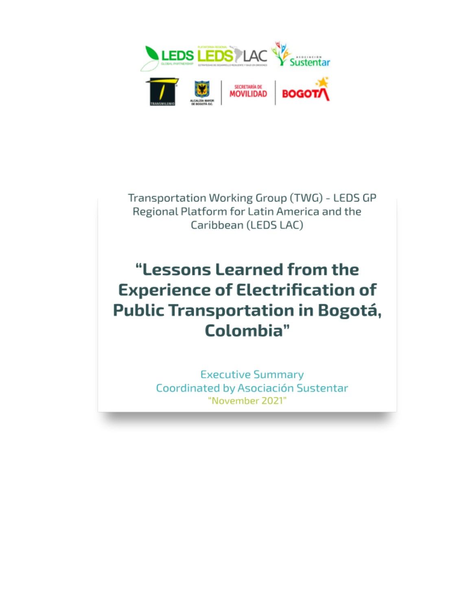

Transportation Working Group (TWG) - LEDS GP Regional Platform for Latin America and the Caribbean (LEDS LAC)

## "Lessons Learned from the **Experience of Electrification of** Public Transportation in Bogotá, Colombia"

**Executive Summary** Coordinated by Asociación Sustentar "November 2021"